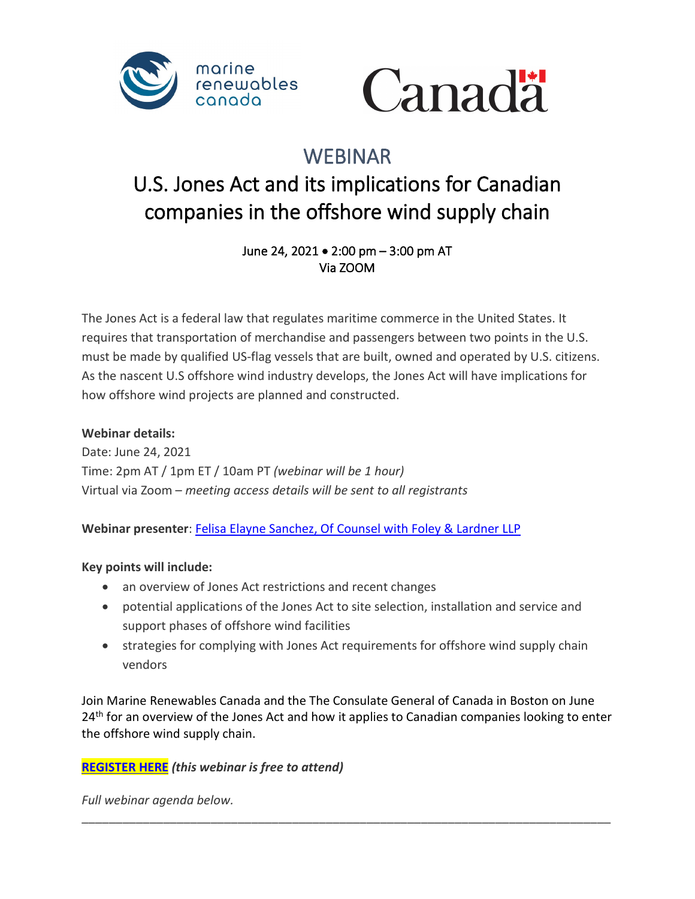



## WEBINAR

# U.S. Jones Act and its implications for Canadian companies in the offshore wind supply chain

June 24, 2021 • 2:00 pm – 3:00 pm AT Via ZOOM

The Jones Act is a federal law that regulates maritime commerce in the United States. It requires that transportation of merchandise and passengers between two points in the U.S. must be made by qualified US-flag vessels that are built, owned and operated by U.S. citizens. As the nascent U.S offshore wind industry develops, the Jones Act will have implications for how offshore wind projects are planned and constructed.

#### **Webinar details:**

Date: June 24, 2021 Time: 2pm AT / 1pm ET / 10am PT *(webinar will be 1 hour)* Virtual via Zoom – *meeting access details will be sent to all registrants*

**Webinar presenter**: [Felisa Elayne Sanchez, Of Counsel with Foley & Lardner LLP](https://www.foley.com/en/people/s/sanchez-felisa-elayne)

#### **Key points will include:**

- an overview of Jones Act restrictions and recent changes
- potential applications of the Jones Act to site selection, installation and service and support phases of offshore wind facilities
- strategies for complying with Jones Act requirements for offshore wind supply chain vendors

Join Marine Renewables Canada and the The Consulate General of Canada in Boston on June  $24<sup>th</sup>$  for an overview of the Jones Act and how it applies to Canadian companies looking to enter the offshore wind supply chain.

\_\_\_\_\_\_\_\_\_\_\_\_\_\_\_\_\_\_\_\_\_\_\_\_\_\_\_\_\_\_\_\_\_\_\_\_\_\_\_\_\_\_\_\_\_\_\_\_\_\_\_\_\_\_\_\_\_\_\_\_\_\_\_\_\_\_\_\_\_\_\_\_\_\_\_\_\_\_

#### **[REGISTER HERE](https://marinerenewables.ca/event/webinar-u-s-jones-act-and-its-implications-for-canadian-companies-in-the-offshore-wind-supply-chain/)** *(this webinar is free to attend)*

*Full webinar agenda below.*